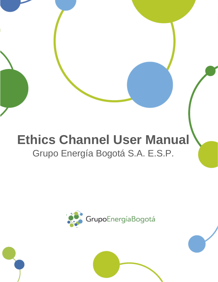# **Ethics Channel User Manual** Grupo Energía Bogotá S.A. E.S.P.

**Ethics Channel User Manual**

Grupo Energía Bogotá S.A. E.S.P.

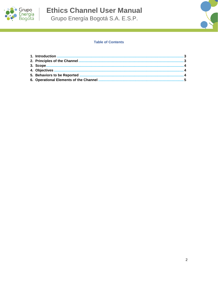

**Ethics Channel User Manual** Grupo Energía Bogotá S.A. E.S.P.

# **Table of Contents**

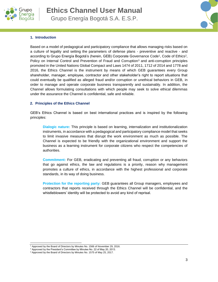



#### **1. Introduction**

Based on a model of pedagogical and participatory compliance that allows managing risks based on a culture of legality and setting the parameters of defense plans - preventive and reactive - and according to Grupo Energía Bogotá's (herein, GEB) Corporate Governance Code<sup>1</sup>, Code of Ethics<sup>2</sup>, Policy on Internal Control and Prevention of Fraud and Corruption<sup>3</sup> and anti-corruption principles promoted in the United Nations Global Compact and Laws 1474 of 2011, 1712 of 2014 and 1778 and 2016, the Ethics Channel is the instrument by means of which GEB guarantees every Group shareholder, manager, employee, contractor and other stakeholder's right to report situations that could eventually be qualified as alleged fraud and/or corruption or unethical behaviors in GEB, in order to manage and operate corporate business transparently and sustainably. In addition, the Channel allows formulating consultations with which people may seek to solve ethical dilemmas under the assurance the Channel is confidential, safe and reliable.

#### **2. Principles of the Ethics Channel**

GEB's Ethics Channel is based on best international practices and is inspired by the following principles:

**Dialogic nature:** This principle is based on learning, internalization and institutionalization instruments, in accordance with a pedagogical and participatory compliance model that seeks to limit invasive measures that disrupt the work environment as much as possible. The Channel is expected to be friendly with the organizational environment and support the business as a learning instrument for corporate citizens who respect the competencies of authorities.

**Commitment:** For GEB, eradicating and preventing all fraud, corruption or any behaviors that go against ethics, the law and regulations is a priority, reason why management promotes a culture of ethics, in accordance with the highest professional and corporate standards, in its way of doing business.

**Protection for the reporting party:** GEB guarantees all Group managers, employees and contractors that reports received through the Ethics Channel will be confidential, and the whistleblowers' identity will be protected to avoid any kind of reprisal.

<sup>1</sup> Approved by the Board of Directors by Minutes No. 1566 of November 29, 2016.

<sup>2</sup> Approved by the President's Committee by Minutes No. 22 of May 20, 2013.

<sup>3</sup> Approved by the Board of Directors by Minutes No. 1575 of May 25, 2017.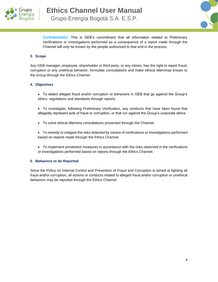



**Confidentiality:** This is GEB's commitment that all information related to Preliminary Verifications or investigations performed as a consequence of a report made through the Channel will only be known by the people authorized to that end in the process.

#### **3. Scope**

Any GEB manager, employee, shareholder or third party, or any citizen, has the right to report fraud, corruption or any unethical behavior, formulate consultations and make ethical dilemmas known to the Group through the Ethics Channel.

## **4. Objectives**

- To detect alleged fraud and/or corruption or behaviors in GEB that go against the Group's ethics, regulations and standards through reports.
- To investigate, following Preliminary Verification, any conducts that have been found that allegedly represent acts of fraud or corruption, or that run against the Group's corporate ethics
- To solve ethical dilemma consultations presented through the Channel.
- To remedy or mitigate the risks detected by means of verifications or investigations performed based on reports made through the Ethics Channel.
- To implement preventive measures in accordance with the risks observed in the verifications or investigations performed based on reports through the Ethics Channel.

#### **5. Behaviors to be Reported**

Since the Policy on Internal Control and Prevention of Fraud and Corruption is aimed at fighting all fraud and/or corruption, all actions or conducts related to alleged fraud and/or corruption or unethical behaviors may be reported through the Ethics Channel.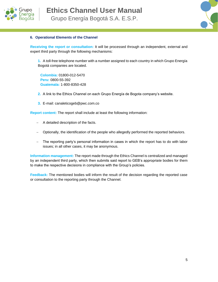



### **6. Operational Elements of the Channel**

**Receiving the report or consultation:** It will be processed through an independent, external and expert third party through the following mechanisms:

**1.** A toll-free telephone number with a number assigned to each country in which Grupo Energía Bogotá companies are located.

**Colombia:** 01800-012-5470 **Peru:** 0800-55-392 **Guatemala:** 1-800-8350-428

- **2.** A link to the Ethics Channel on each Grupo Energía de Bogota company's website.
- **3.** E-mail: [canaleticogeb@pwc.com.co](mailto:canaleticogeb@pwc.com.co)

**Report content:** The report shall include at least the following information:

- − A detailed description of the facts.
- − Optionally, the identification of the people who allegedly performed the reported behaviors.
- The reporting party's personal information in cases in which the report has to do with labor issues; in all other cases, it may be anonymous.

**Information management:** The report made through the Ethics Channel is centralized and managed by an independent third party, which then submits said report to GEB's appropriate bodies for them to make the respective decisions in compliance with the Group's policies.

**Feedback:** The mentioned bodies will inform the result of the decision regarding the reported case or consultation to the reporting party through the Channel.